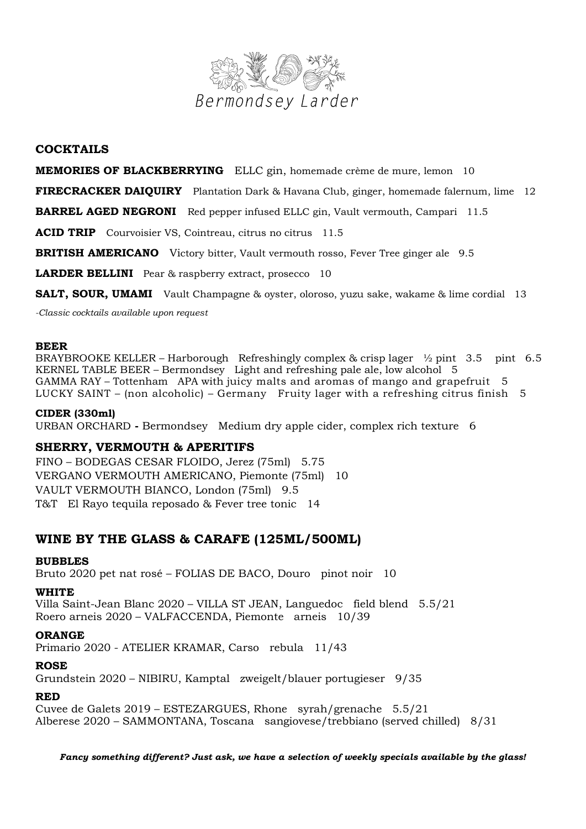

## **COCKTAILS**

### **MEMORIES OF BLACKBERRYING** ELLC gin, homemade crème de mure, lemon 10

**FIRECRACKER DAIQUIRY** Plantation Dark & Havana Club, ginger, homemade falernum, lime 12

**BARREL AGED NEGRONI** Red pepper infused ELLC gin, Vault vermouth, Campari 11.5

**ACID TRIP** Courvoisier VS, Cointreau, citrus no citrus 11.5

**BRITISH AMERICANO** Victory bitter, Vault vermouth rosso, Fever Tree ginger ale 9.5

**LARDER BELLINI** Pear & raspberry extract, prosecco 10

**SALT, SOUR, UMAMI** Vault Champagne & oyster, oloroso, yuzu sake, wakame & lime cordial 13

*-Classic cocktails available upon request*

### **BEER**

BRAYBROOKE KELLER – Harborough Refreshingly complex & crisp lager  $\frac{1}{2}$  pint 3.5 pint 6.5 KERNEL TABLE BEER – Bermondsey Light and refreshing pale ale, low alcohol 5 GAMMA RAY – Tottenham APA with juicy malts and aromas of mango and grapefruit 5 LUCKY SAINT – (non alcoholic) – Germany Fruity lager with a refreshing citrus finish 5

### **CIDER (330ml)**

URBAN ORCHARD **-** Bermondsey Medium dry apple cider, complex rich texture 6

## **SHERRY, VERMOUTH & APERITIFS**

FINO – BODEGAS CESAR FLOIDO, Jerez (75ml) 5.75 VERGANO VERMOUTH AMERICANO, Piemonte (75ml) 10 VAULT VERMOUTH BIANCO, London (75ml) 9.5 T&T El Rayo tequila reposado & Fever tree tonic 14

# **WINE BY THE GLASS & CARAFE (125ML/500ML)**

### **BUBBLES**

Bruto 2020 pet nat rosé – FOLIAS DE BACO, Douro pinot noir 10

### **WHITE**

Villa Saint-Jean Blanc 2020 – VILLA ST JEAN, Languedoc field blend 5.5/21 Roero arneis 2020 – VALFACCENDA, Piemonte arneis 10/39

### **ORANGE**

Primario 2020 - ATELIER KRAMAR, Carso rebula 11/43

### **ROSE**

Grundstein 2020 – NIBIRU, Kamptal zweigelt/blauer portugieser 9/35

## **RED**

Cuvee de Galets 2019 – ESTEZARGUES, Rhone syrah/grenache 5.5/21 Alberese 2020 – SAMMONTANA, Toscana sangiovese/trebbiano (served chilled) 8/31

*Fancy something different? Just ask, we have a selection of weekly specials available by the glass!*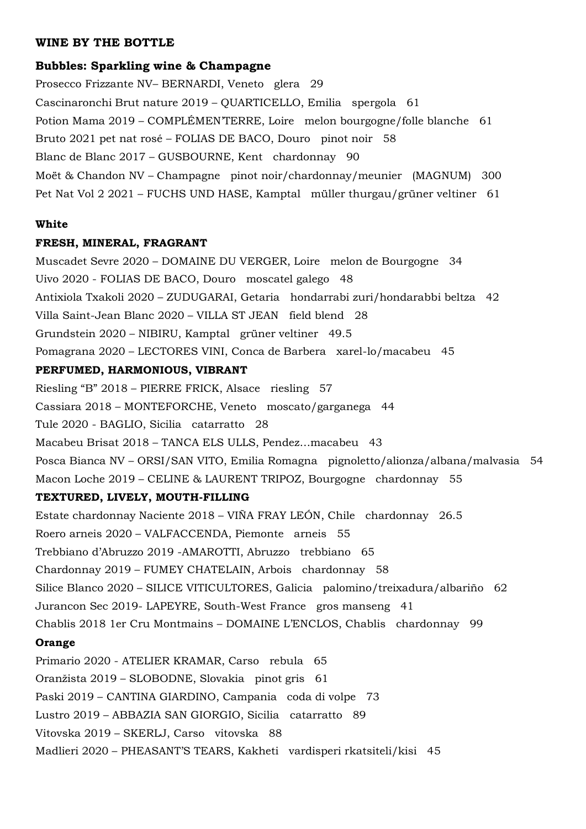## **WINE BY THE BOTTLE**

### **Bubbles: Sparkling wine & Champagne**

Prosecco Frizzante NV– BERNARDI, Veneto glera 29 Cascinaronchi Brut nature 2019 – QUARTICELLO, Emilia spergola 61 Potion Mama 2019 – COMPLÉMEN'TERRE, Loire melon bourgogne/folle blanche 61 Bruto 2021 pet nat rosé – FOLIAS DE BACO, Douro pinot noir 58 Blanc de Blanc 2017 – GUSBOURNE, Kent chardonnay 90 Moët & Chandon NV – Champagne pinot noir/chardonnay/meunier (MAGNUM) 300 Pet Nat Vol 2 2021 – FUCHS UND HASE, Kamptal müller thurgau/grüner veltiner 61

### **White**

### **FRESH, MINERAL, FRAGRANT**

Muscadet Sevre 2020 – DOMAINE DU VERGER, Loire melon de Bourgogne 34 Uivo 2020 - FOLIAS DE BACO, Douro moscatel galego 48 Antixiola Txakoli 2020 – ZUDUGARAI, Getaria hondarrabi zuri/hondarabbi beltza 42 Villa Saint-Jean Blanc 2020 – VILLA ST JEAN field blend 28 Grundstein 2020 – NIBIRU, Kamptal grüner veltiner 49.5 Pomagrana 2020 – LECTORES VINI, Conca de Barbera xarel-lo/macabeu 45

## **PERFUMED, HARMONIOUS, VIBRANT**

Riesling "B" 2018 – PIERRE FRICK, Alsace riesling 57 Cassiara 2018 – MONTEFORCHE, Veneto moscato/garganega 44 Tule 2020 - BAGLIO, Sicilia catarratto 28 Macabeu Brisat 2018 – TANCA ELS ULLS, Pendez…macabeu 43 Posca Bianca NV – ORSI/SAN VITO, Emilia Romagna pignoletto/alionza/albana/malvasia 54 Macon Loche 2019 – CELINE & LAURENT TRIPOZ, Bourgogne chardonnay 55 **TEXTURED, LIVELY, MOUTH-FILLING** Estate chardonnay Naciente 2018 – VIÑA FRAY LEÓN, Chile chardonnay 26.5 Roero arneis 2020 – VALFACCENDA, Piemonte arneis 55 Trebbiano d'Abruzzo 2019 -AMAROTTI, Abruzzo trebbiano 65 Chardonnay 2019 – FUMEY CHATELAIN, Arbois chardonnay 58 Silice Blanco 2020 – SILICE VITICULTORES, Galicia palomino/treixadura/albariño 62 Jurancon Sec 2019- LAPEYRE, South-West France gros manseng 41 Chablis 2018 1er Cru Montmains – DOMAINE L'ENCLOS, Chablis chardonnay 99

# **Orange**

Primario 2020 - ATELIER KRAMAR, Carso rebula 65 Oranžista 2019 – SLOBODNE, Slovakia pinot gris 61 Paski 2019 – CANTINA GIARDINO, Campania coda di volpe 73 Lustro 2019 – ABBAZIA SAN GIORGIO, Sicilia catarratto 89 Vitovska 2019 – SKERLJ, Carso vitovska 88 Madlieri 2020 – PHEASANT'S TEARS, Kakheti vardisperi rkatsiteli/kisi 45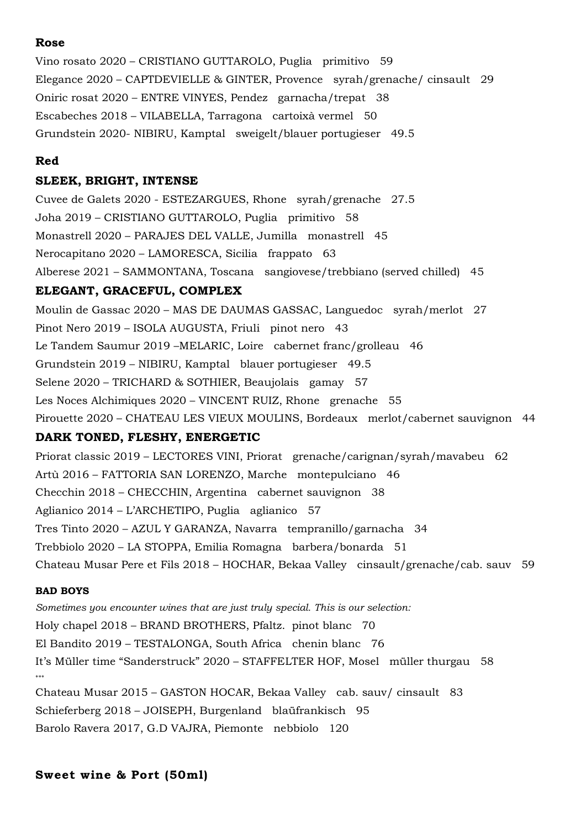# **Rose**

Vino rosato 2020 – CRISTIANO GUTTAROLO, Puglia primitivo 59 Elegance 2020 – CAPTDEVIELLE & GINTER, Provence syrah/grenache/ cinsault 29 Oniric rosat 2020 – ENTRE VINYES, Pendez garnacha/trepat 38 Escabeches 2018 – VILABELLA, Tarragona cartoixà vermel 50 Grundstein 2020- NIBIRU, Kamptal sweigelt/blauer portugieser 49.5

## **Red**

## **SLEEK, BRIGHT, INTENSE**

Cuvee de Galets 2020 - ESTEZARGUES, Rhone syrah/grenache 27.5 Joha 2019 – CRISTIANO GUTTAROLO, Puglia primitivo 58 Monastrell 2020 – PARAJES DEL VALLE, Jumilla monastrell 45 Nerocapitano 2020 – LAMORESCA, Sicilia frappato 63 Alberese 2021 – SAMMONTANA, Toscana sangiovese/trebbiano (served chilled) 45 **ELEGANT, GRACEFUL, COMPLEX** Moulin de Gassac 2020 – MAS DE DAUMAS GASSAC, Languedoc syrah/merlot 27 Pinot Nero 2019 – ISOLA AUGUSTA, Friuli pinot nero 43 Le Tandem Saumur 2019 –MELARIC, Loire cabernet franc/grolleau 46 Grundstein 2019 – NIBIRU, Kamptal blauer portugieser 49.5 Selene 2020 – TRICHARD & SOTHIER, Beaujolais gamay 57 Les Noces Alchimiques 2020 – VINCENT RUIZ, Rhone grenache 55 Pirouette 2020 – CHATEAU LES VIEUX MOULINS, Bordeaux merlot/cabernet sauvignon 44

# **DARK TONED, FLESHY, ENERGETIC**

Priorat classic 2019 – LECTORES VINI, Priorat grenache/carignan/syrah/mavabeu 62 Artù 2016 – FATTORIA SAN LORENZO, Marche montepulciano 46 Checchin 2018 – CHECCHIN, Argentina cabernet sauvignon 38 Aglianico 2014 – L'ARCHETIPO, Puglia aglianico 57 Tres Tinto 2020 – AZUL Y GARANZA, Navarra tempranillo/garnacha 34 Trebbiolo 2020 – LA STOPPA, Emilia Romagna barbera/bonarda 51 Chateau Musar Pere et Fils 2018 – HOCHAR, Bekaa Valley cinsault/grenache/cab. sauv 59

## **BAD BOYS**

*Sometimes you encounter wines that are just truly special. This is our selection:* Holy chapel 2018 – BRAND BROTHERS, Pfaltz. pinot blanc 70 El Bandito 2019 – TESTALONGA, South Africa chenin blanc 76 It's Müller time "Sanderstruck" 2020 – STAFFELTER HOF, Mosel müller thurgau 58 \*\*\* Chateau Musar 2015 – GASTON HOCAR, Bekaa Valley cab. sauv/ cinsault 83 Schieferberg 2018 – JOISEPH, Burgenland blaüfrankisch 95

Barolo Ravera 2017, G.D VAJRA, Piemonte nebbiolo 120

# **Sweet wine & Port (50ml)**